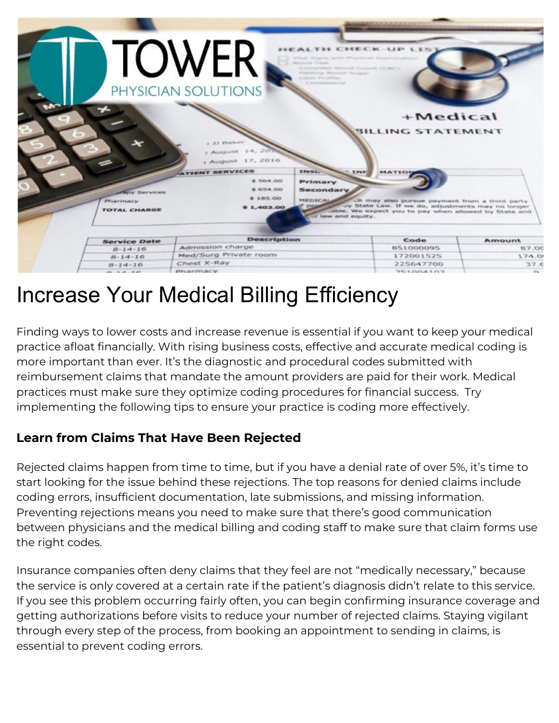

# Increase Your Medical Billing Efficiency

Finding ways to lower costs and increase revenue is essential if you want to keep your medical practice afloat financially. With rising business costs, effective and accurate medical coding is more important than ever. It's the diagnostic and procedural codes submitted with reimbursement claims that mandate the amount providers are paid for their work. Medical practices must make sure they optimize coding procedures for financial success. Try implementing the following tips to ensure your practice is coding more effectively.

# **Learn from Claims That Have Been Rejected**

Rejected claims happen from time to time, but if you have a denial rate of over 5%, it's time to start looking for the issue behind these rejections. The top reasons for denied claims include coding errors, insufficient documentation, late submissions, and missing information. Preventing rejections means you need to make sure that there's good communication between physicians and the medical billing and coding staff to make sure that claim forms use the right codes.

Insurance companies often deny claims that they feel are not "medically necessary," because the service is only covered at a certain rate if the patient's diagnosis didn't relate to this service. If you see this problem occurring fairly often, you can begin confirming insurance coverage and getting authorizations before visits to reduce your number of rejected claims. Staying vigilant through every step of the process, from booking an appointment to sending in claims, is essential to prevent coding errors.